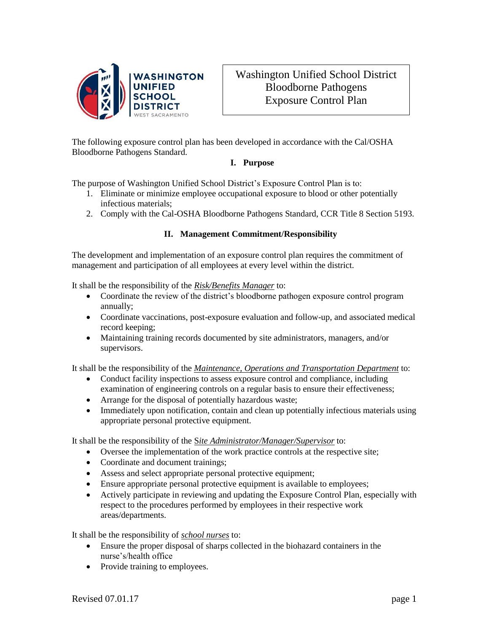

Washington Unified School District Bloodborne Pathogens Exposure Control Plan

The following exposure control plan has been developed in accordance with the Cal/OSHA Bloodborne Pathogens Standard.

# **I. Purpose**

The purpose of Washington Unified School District's Exposure Control Plan is to:

- 1. Eliminate or minimize employee occupational exposure to blood or other potentially infectious materials;
- 2. Comply with the Cal-OSHA Bloodborne Pathogens Standard, CCR Title 8 Section 5193.

# **II. Management Commitment/Responsibility**

The development and implementation of an exposure control plan requires the commitment of management and participation of all employees at every level within the district.

It shall be the responsibility of the *Risk/Benefits Manager* to:

- Coordinate the review of the district's bloodborne pathogen exposure control program annually;
- Coordinate vaccinations, post-exposure evaluation and follow-up, and associated medical record keeping;
- Maintaining training records documented by site administrators, managers, and/or supervisors.

It shall be the responsibility of the *Maintenance, Operations and Transportation Department* to:

- Conduct facility inspections to assess exposure control and compliance, including examination of engineering controls on a regular basis to ensure their effectiveness;
- Arrange for the disposal of potentially hazardous waste;
- Immediately upon notification, contain and clean up potentially infectious materials using appropriate personal protective equipment.

It shall be the responsibility of the S*ite Administrator/Manager/Supervisor* to:

- Oversee the implementation of the work practice controls at the respective site;
- Coordinate and document trainings;
- Assess and select appropriate personal protective equipment;
- Ensure appropriate personal protective equipment is available to employees;
- Actively participate in reviewing and updating the Exposure Control Plan, especially with respect to the procedures performed by employees in their respective work areas/departments.

It shall be the responsibility of *school nurses* to:

- Ensure the proper disposal of sharps collected in the biohazard containers in the nurse's/health office
- Provide training to employees.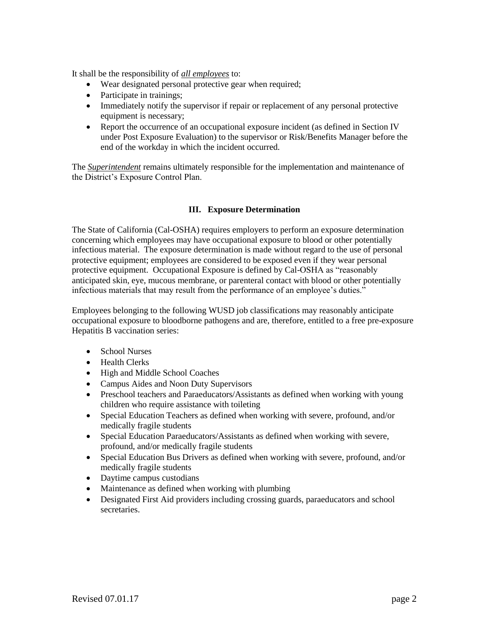It shall be the responsibility of *all employees* to:

- Wear designated personal protective gear when required;
- Participate in trainings;
- Immediately notify the supervisor if repair or replacement of any personal protective equipment is necessary;
- Report the occurrence of an occupational exposure incident (as defined in Section IV under Post Exposure Evaluation) to the supervisor or Risk/Benefits Manager before the end of the workday in which the incident occurred.

The *Superintendent* remains ultimately responsible for the implementation and maintenance of the District's Exposure Control Plan.

### **III. Exposure Determination**

The State of California (Cal-OSHA) requires employers to perform an exposure determination concerning which employees may have occupational exposure to blood or other potentially infectious material. The exposure determination is made without regard to the use of personal protective equipment; employees are considered to be exposed even if they wear personal protective equipment. Occupational Exposure is defined by Cal-OSHA as "reasonably anticipated skin, eye, mucous membrane, or parenteral contact with blood or other potentially infectious materials that may result from the performance of an employee's duties."

Employees belonging to the following WUSD job classifications may reasonably anticipate occupational exposure to bloodborne pathogens and are, therefore, entitled to a free pre-exposure Hepatitis B vaccination series:

- School Nurses
- Health Clerks
- High and Middle School Coaches
- Campus Aides and Noon Duty Supervisors
- Preschool teachers and Paraeducators/Assistants as defined when working with young children who require assistance with toileting
- Special Education Teachers as defined when working with severe, profound, and/or medically fragile students
- Special Education Paraeducators/Assistants as defined when working with severe, profound, and/or medically fragile students
- Special Education Bus Drivers as defined when working with severe, profound, and/or medically fragile students
- Daytime campus custodians
- Maintenance as defined when working with plumbing
- Designated First Aid providers including crossing guards, paraeducators and school secretaries.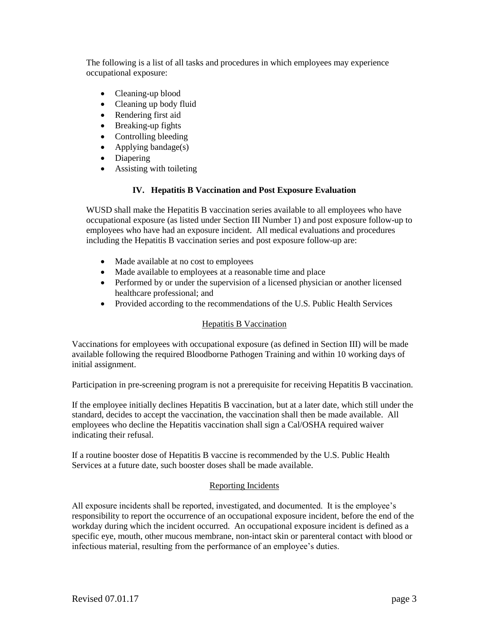The following is a list of all tasks and procedures in which employees may experience occupational exposure:

- Cleaning-up blood
- Cleaning up body fluid
- Rendering first aid
- Breaking-up fights
- Controlling bleeding
- Applying bandage $(s)$
- Diapering
- Assisting with toileting

# **IV. Hepatitis B Vaccination and Post Exposure Evaluation**

WUSD shall make the Hepatitis B vaccination series available to all employees who have occupational exposure (as listed under Section III Number 1) and post exposure follow-up to employees who have had an exposure incident. All medical evaluations and procedures including the Hepatitis B vaccination series and post exposure follow-up are:

- Made available at no cost to employees
- Made available to employees at a reasonable time and place
- Performed by or under the supervision of a licensed physician or another licensed healthcare professional; and
- Provided according to the recommendations of the U.S. Public Health Services

# Hepatitis B Vaccination

Vaccinations for employees with occupational exposure (as defined in Section III) will be made available following the required Bloodborne Pathogen Training and within 10 working days of initial assignment.

Participation in pre-screening program is not a prerequisite for receiving Hepatitis B vaccination.

If the employee initially declines Hepatitis B vaccination, but at a later date, which still under the standard, decides to accept the vaccination, the vaccination shall then be made available. All employees who decline the Hepatitis vaccination shall sign a Cal/OSHA required waiver indicating their refusal.

If a routine booster dose of Hepatitis B vaccine is recommended by the U.S. Public Health Services at a future date, such booster doses shall be made available.

# Reporting Incidents

All exposure incidents shall be reported, investigated, and documented. It is the employee's responsibility to report the occurrence of an occupational exposure incident, before the end of the workday during which the incident occurred. An occupational exposure incident is defined as a specific eye, mouth, other mucous membrane, non-intact skin or parenteral contact with blood or infectious material, resulting from the performance of an employee's duties.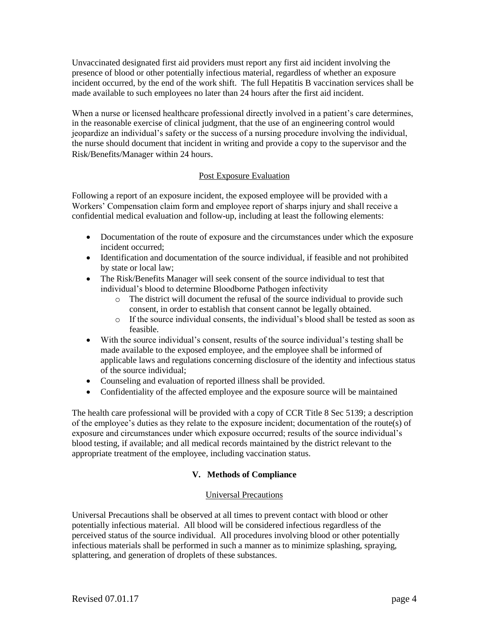Unvaccinated designated first aid providers must report any first aid incident involving the presence of blood or other potentially infectious material, regardless of whether an exposure incident occurred, by the end of the work shift. The full Hepatitis B vaccination services shall be made available to such employees no later than 24 hours after the first aid incident.

When a nurse or licensed healthcare professional directly involved in a patient's care determines, in the reasonable exercise of clinical judgment, that the use of an engineering control would jeopardize an individual's safety or the success of a nursing procedure involving the individual, the nurse should document that incident in writing and provide a copy to the supervisor and the Risk/Benefits/Manager within 24 hours.

# Post Exposure Evaluation

Following a report of an exposure incident, the exposed employee will be provided with a Workers' Compensation claim form and employee report of sharps injury and shall receive a confidential medical evaluation and follow-up, including at least the following elements:

- Documentation of the route of exposure and the circumstances under which the exposure incident occurred;
- Identification and documentation of the source individual, if feasible and not prohibited by state or local law;
- The Risk/Benefits Manager will seek consent of the source individual to test that individual's blood to determine Bloodborne Pathogen infectivity
	- o The district will document the refusal of the source individual to provide such consent, in order to establish that consent cannot be legally obtained.
	- o If the source individual consents, the individual's blood shall be tested as soon as feasible.
- With the source individual's consent, results of the source individual's testing shall be made available to the exposed employee, and the employee shall be informed of applicable laws and regulations concerning disclosure of the identity and infectious status of the source individual;
- Counseling and evaluation of reported illness shall be provided.
- Confidentiality of the affected employee and the exposure source will be maintained

The health care professional will be provided with a copy of CCR Title 8 Sec 5139; a description of the employee's duties as they relate to the exposure incident; documentation of the route(s) of exposure and circumstances under which exposure occurred; results of the source individual's blood testing, if available; and all medical records maintained by the district relevant to the appropriate treatment of the employee, including vaccination status.

# **V. Methods of Compliance**

### Universal Precautions

Universal Precautions shall be observed at all times to prevent contact with blood or other potentially infectious material. All blood will be considered infectious regardless of the perceived status of the source individual. All procedures involving blood or other potentially infectious materials shall be performed in such a manner as to minimize splashing, spraying, splattering, and generation of droplets of these substances.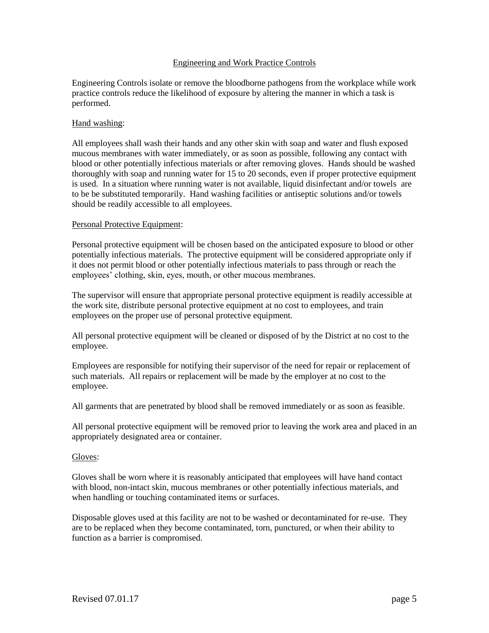### Engineering and Work Practice Controls

Engineering Controls isolate or remove the bloodborne pathogens from the workplace while work practice controls reduce the likelihood of exposure by altering the manner in which a task is performed.

### Hand washing:

All employees shall wash their hands and any other skin with soap and water and flush exposed mucous membranes with water immediately, or as soon as possible, following any contact with blood or other potentially infectious materials or after removing gloves. Hands should be washed thoroughly with soap and running water for 15 to 20 seconds, even if proper protective equipment is used. In a situation where running water is not available, liquid disinfectant and/or towels are to be be substituted temporarily. Hand washing facilities or antiseptic solutions and/or towels should be readily accessible to all employees.

# Personal Protective Equipment:

Personal protective equipment will be chosen based on the anticipated exposure to blood or other potentially infectious materials. The protective equipment will be considered appropriate only if it does not permit blood or other potentially infectious materials to pass through or reach the employees' clothing, skin, eyes, mouth, or other mucous membranes.

The supervisor will ensure that appropriate personal protective equipment is readily accessible at the work site, distribute personal protective equipment at no cost to employees, and train employees on the proper use of personal protective equipment.

All personal protective equipment will be cleaned or disposed of by the District at no cost to the employee.

Employees are responsible for notifying their supervisor of the need for repair or replacement of such materials. All repairs or replacement will be made by the employer at no cost to the employee.

All garments that are penetrated by blood shall be removed immediately or as soon as feasible.

All personal protective equipment will be removed prior to leaving the work area and placed in an appropriately designated area or container.

### Gloves:

Gloves shall be worn where it is reasonably anticipated that employees will have hand contact with blood, non-intact skin, mucous membranes or other potentially infectious materials, and when handling or touching contaminated items or surfaces.

Disposable gloves used at this facility are not to be washed or decontaminated for re-use. They are to be replaced when they become contaminated, torn, punctured, or when their ability to function as a barrier is compromised.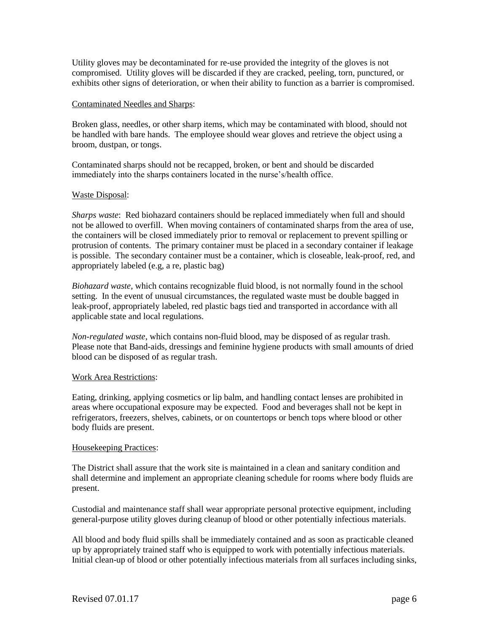Utility gloves may be decontaminated for re-use provided the integrity of the gloves is not compromised. Utility gloves will be discarded if they are cracked, peeling, torn, punctured, or exhibits other signs of deterioration, or when their ability to function as a barrier is compromised.

#### Contaminated Needles and Sharps:

Broken glass, needles, or other sharp items, which may be contaminated with blood, should not be handled with bare hands. The employee should wear gloves and retrieve the object using a broom, dustpan, or tongs.

Contaminated sharps should not be recapped, broken, or bent and should be discarded immediately into the sharps containers located in the nurse's/health office.

#### Waste Disposal:

*Sharps waste*: Red biohazard containers should be replaced immediately when full and should not be allowed to overfill. When moving containers of contaminated sharps from the area of use, the containers will be closed immediately prior to removal or replacement to prevent spilling or protrusion of contents. The primary container must be placed in a secondary container if leakage is possible. The secondary container must be a container, which is closeable, leak-proof, red, and appropriately labeled (e.g, a re, plastic bag)

*Biohazard waste*, which contains recognizable fluid blood, is not normally found in the school setting. In the event of unusual circumstances, the regulated waste must be double bagged in leak-proof, appropriately labeled, red plastic bags tied and transported in accordance with all applicable state and local regulations.

*Non-regulated waste*, which contains non-fluid blood, may be disposed of as regular trash. Please note that Band-aids, dressings and feminine hygiene products with small amounts of dried blood can be disposed of as regular trash.

#### Work Area Restrictions:

Eating, drinking, applying cosmetics or lip balm, and handling contact lenses are prohibited in areas where occupational exposure may be expected. Food and beverages shall not be kept in refrigerators, freezers, shelves, cabinets, or on countertops or bench tops where blood or other body fluids are present.

#### Housekeeping Practices:

The District shall assure that the work site is maintained in a clean and sanitary condition and shall determine and implement an appropriate cleaning schedule for rooms where body fluids are present.

Custodial and maintenance staff shall wear appropriate personal protective equipment, including general-purpose utility gloves during cleanup of blood or other potentially infectious materials.

All blood and body fluid spills shall be immediately contained and as soon as practicable cleaned up by appropriately trained staff who is equipped to work with potentially infectious materials. Initial clean-up of blood or other potentially infectious materials from all surfaces including sinks,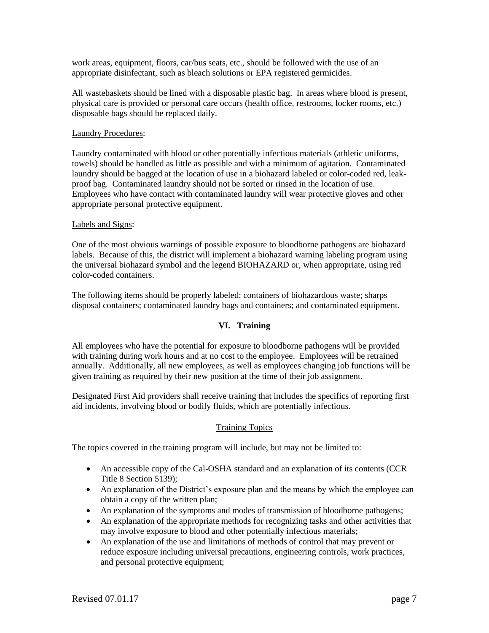work areas, equipment, floors, car/bus seats, etc., should be followed with the use of an appropriate disinfectant, such as bleach solutions or EPA registered germicides.

All wastebaskets should be lined with a disposable plastic bag. In areas where blood is present, physical care is provided or personal care occurs (health office, restrooms, locker rooms, etc.) disposable bags should be replaced daily.

### Laundry Procedures:

Laundry contaminated with blood or other potentially infectious materials (athletic uniforms, towels) should be handled as little as possible and with a minimum of agitation. Contaminated laundry should be bagged at the location of use in a biohazard labeled or color-coded red, leakproof bag. Contaminated laundry should not be sorted or rinsed in the location of use. Employees who have contact with contaminated laundry will wear protective gloves and other appropriate personal protective equipment.

### Labels and Signs:

One of the most obvious warnings of possible exposure to bloodborne pathogens are biohazard labels. Because of this, the district will implement a biohazard warning labeling program using the universal biohazard symbol and the legend BIOHAZARD or, when appropriate, using red color-coded containers.

The following items should be properly labeled: containers of biohazardous waste; sharps disposal containers; contaminated laundry bags and containers; and contaminated equipment.

# **VI. Training**

All employees who have the potential for exposure to bloodborne pathogens will be provided with training during work hours and at no cost to the employee. Employees will be retrained annually. Additionally, all new employees, as well as employees changing job functions will be given training as required by their new position at the time of their job assignment.

Designated First Aid providers shall receive training that includes the specifics of reporting first aid incidents, involving blood or bodily fluids, which are potentially infectious.

# Training Topics

The topics covered in the training program will include, but may not be limited to:

- An accessible copy of the Cal-OSHA standard and an explanation of its contents (CCR Title 8 Section 5139);
- An explanation of the District's exposure plan and the means by which the employee can obtain a copy of the written plan;
- An explanation of the symptoms and modes of transmission of bloodborne pathogens;
- An explanation of the appropriate methods for recognizing tasks and other activities that may involve exposure to blood and other potentially infectious materials;
- An explanation of the use and limitations of methods of control that may prevent or reduce exposure including universal precautions, engineering controls, work practices, and personal protective equipment;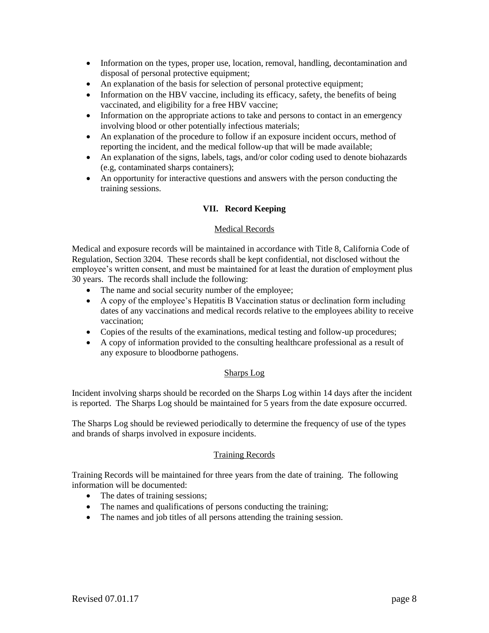- Information on the types, proper use, location, removal, handling, decontamination and disposal of personal protective equipment;
- An explanation of the basis for selection of personal protective equipment;
- Information on the HBV vaccine, including its efficacy, safety, the benefits of being vaccinated, and eligibility for a free HBV vaccine;
- Information on the appropriate actions to take and persons to contact in an emergency involving blood or other potentially infectious materials;
- An explanation of the procedure to follow if an exposure incident occurs, method of reporting the incident, and the medical follow-up that will be made available;
- An explanation of the signs, labels, tags, and/or color coding used to denote biohazards (e.g, contaminated sharps containers);
- An opportunity for interactive questions and answers with the person conducting the training sessions.

# **VII. Record Keeping**

#### Medical Records

Medical and exposure records will be maintained in accordance with Title 8, California Code of Regulation, Section 3204. These records shall be kept confidential, not disclosed without the employee's written consent, and must be maintained for at least the duration of employment plus 30 years. The records shall include the following:

- The name and social security number of the employee;
- A copy of the employee's Hepatitis B Vaccination status or declination form including dates of any vaccinations and medical records relative to the employees ability to receive vaccination;
- Copies of the results of the examinations, medical testing and follow-up procedures;
- A copy of information provided to the consulting healthcare professional as a result of any exposure to bloodborne pathogens.

### Sharps Log

Incident involving sharps should be recorded on the Sharps Log within 14 days after the incident is reported. The Sharps Log should be maintained for 5 years from the date exposure occurred.

The Sharps Log should be reviewed periodically to determine the frequency of use of the types and brands of sharps involved in exposure incidents.

### Training Records

Training Records will be maintained for three years from the date of training. The following information will be documented:

- The dates of training sessions;
- The names and qualifications of persons conducting the training;
- The names and job titles of all persons attending the training session.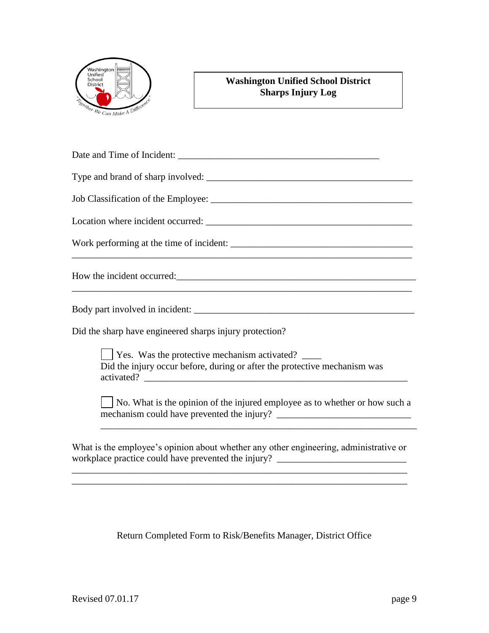

# **Washington Unified School District Sharps Injury Log**

| <u> 1989 - Johann Stein, marwolaethau a bhann an t-Amhainn an t-Amhainn an t-Amhainn an t-Amhainn an t-Amhainn an</u>                     |
|-------------------------------------------------------------------------------------------------------------------------------------------|
|                                                                                                                                           |
|                                                                                                                                           |
| Did the sharp have engineered sharps injury protection?                                                                                   |
| $\vert$ Yes. Was the protective mechanism activated? $\vert$<br>Did the injury occur before, during or after the protective mechanism was |
| No. What is the opinion of the injured employee as to whether or how such a                                                               |
|                                                                                                                                           |

What is the employee's opinion about whether any other engineering, administrative or workplace practice could have prevented the injury? \_\_\_\_\_\_\_\_\_\_\_\_\_\_\_\_\_\_\_\_\_\_\_\_\_\_\_\_

\_\_\_\_\_\_\_\_\_\_\_\_\_\_\_\_\_\_\_\_\_\_\_\_\_\_\_\_\_\_\_\_\_\_\_\_\_\_\_\_\_\_\_\_\_\_\_\_\_\_\_\_\_\_\_\_\_\_\_\_\_\_\_\_\_\_\_\_\_\_ \_\_\_\_\_\_\_\_\_\_\_\_\_\_\_\_\_\_\_\_\_\_\_\_\_\_\_\_\_\_\_\_\_\_\_\_\_\_\_\_\_\_\_\_\_\_\_\_\_\_\_\_\_\_\_\_\_\_\_\_\_\_\_\_\_\_\_\_\_\_

Return Completed Form to Risk/Benefits Manager, District Office